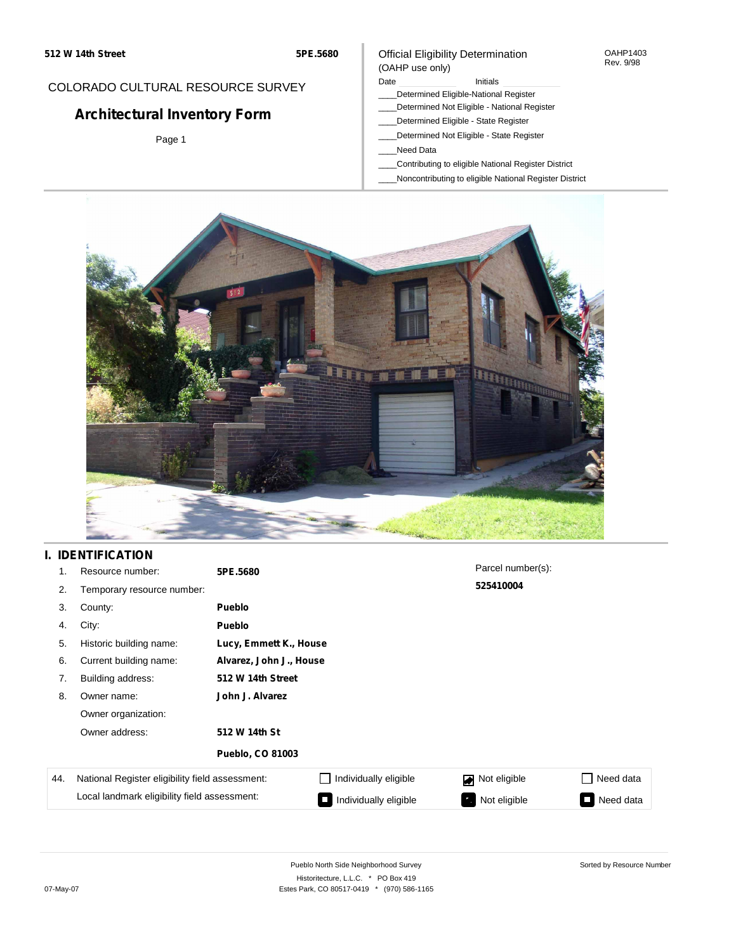#### OAHP1403 Rev. 9/98

### COLORADO CULTURAL RESOURCE SURVEY

# **Architectural Inventory Form**

Page 1

### (OAHP use only) Date **Initials** Initials

Official Eligibility Determination

- \_\_\_\_Determined Eligible-National Register
- \_\_\_\_Determined Not Eligible National Register
- \_\_\_\_Determined Eligible State Register
- \_\_\_\_Determined Not Eligible State Register
- \_\_\_\_Need Data
- \_\_\_\_Contributing to eligible National Register District
- \_\_\_\_Noncontributing to eligible National Register District



# **I. IDENTIFICATION**

| 1.  | Resource number:                                                                                | 5PE.5680                |                       | Parcel number(s): |           |
|-----|-------------------------------------------------------------------------------------------------|-------------------------|-----------------------|-------------------|-----------|
| 2.  | Temporary resource number:                                                                      |                         |                       | 525410004         |           |
| 3.  | County:                                                                                         | <b>Pueblo</b>           |                       |                   |           |
| 4.  | City:                                                                                           | <b>Pueblo</b>           |                       |                   |           |
| 5.  | Historic building name:                                                                         | Lucy, Emmett K., House  |                       |                   |           |
| 6.  | Current building name:                                                                          | Alvarez, John J., House |                       |                   |           |
| 7.  | Building address:                                                                               | 512 W 14th Street       |                       |                   |           |
| 8.  | Owner name:                                                                                     | John J. Alvarez         |                       |                   |           |
|     | Owner organization:                                                                             |                         |                       |                   |           |
|     | Owner address:                                                                                  | 512 W 14th St           |                       |                   |           |
|     |                                                                                                 | <b>Pueblo, CO 81003</b> |                       |                   |           |
| 44. | National Register eligibility field assessment:<br>Local landmark eligibility field assessment: |                         | Individually eligible | Not eligible<br>◪ | Need data |
|     |                                                                                                 |                         | Individually eligible | Not eligible      | Need data |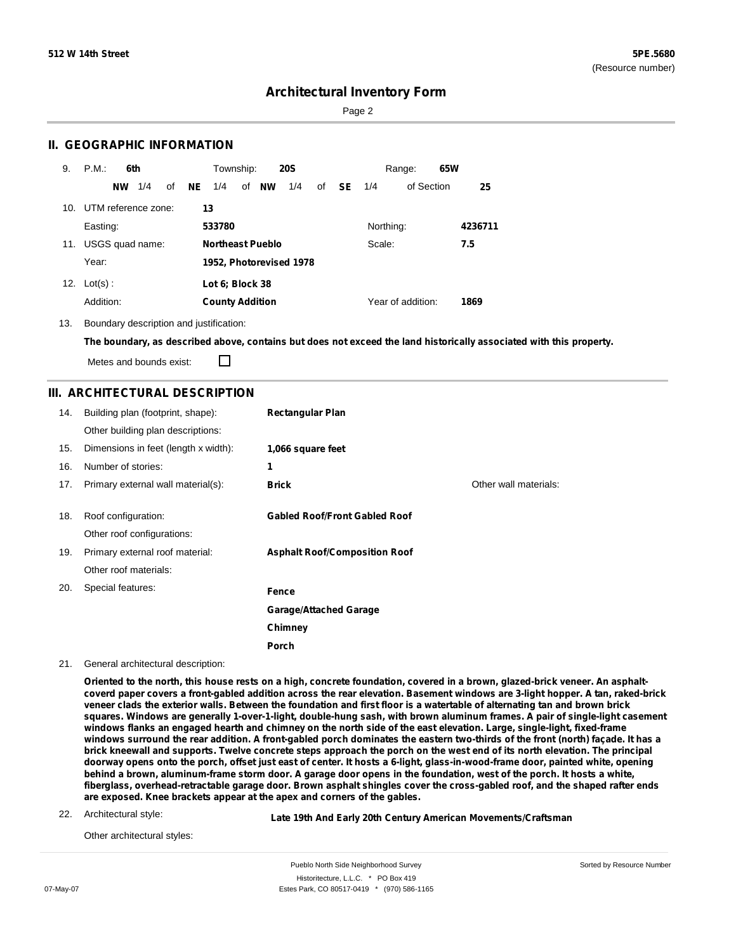Sorted by Resource Number

### **Architectural Inventory Form**

Page 2

### **II. GEOGRAPHIC INFORMATION**

| 9.  | P.M.<br>6th            | <b>20S</b><br>Township:                       | 65W<br>Range:                        |
|-----|------------------------|-----------------------------------------------|--------------------------------------|
|     | 1/4<br><b>NW</b><br>οf | <b>NE</b><br>of <b>NW</b><br>1/4<br>1/4<br>οf | <b>SE</b><br>of Section<br>25<br>1/4 |
| 10. | UTM reference zone:    | 13                                            |                                      |
|     | Easting:               | 533780                                        | Northing:<br>4236711                 |
| 11. | USGS quad name:        | <b>Northeast Pueblo</b>                       | Scale:<br>7.5                        |
|     | Year:                  | 1952, Photorevised 1978                       |                                      |
| 12. | $Lot(s)$ :             | Lot 6; Block 38                               |                                      |
|     | Addition:              | <b>County Addition</b>                        | Year of addition:<br>1869            |

13. Boundary description and justification:

П

The boundary, as described above, contains but does not exceed the land historically associated with this property.

Metes and bounds exist:

### **III. ARCHITECTURAL DESCRIPTION**

| 14. | Building plan (footprint, shape):    | <b>Rectangular Plan</b>              |                       |
|-----|--------------------------------------|--------------------------------------|-----------------------|
|     | Other building plan descriptions:    |                                      |                       |
| 15. | Dimensions in feet (length x width): | 1,066 square feet                    |                       |
| 16. | Number of stories:                   | 1                                    |                       |
| 17. | Primary external wall material(s):   | <b>Brick</b>                         | Other wall materials: |
|     |                                      |                                      |                       |
| 18. | Roof configuration:                  | <b>Gabled Roof/Front Gabled Roof</b> |                       |
|     | Other roof configurations:           |                                      |                       |
| 19. | Primary external roof material:      | <b>Asphalt Roof/Composition Roof</b> |                       |
|     | Other roof materials:                |                                      |                       |
| 20. | Special features:                    | Fence                                |                       |
|     |                                      | <b>Garage/Attached Garage</b>        |                       |
|     |                                      | Chimney                              |                       |
|     |                                      | Porch                                |                       |

21. General architectural description:

Oriented to the north, this house rests on a high, concrete foundation, covered in a brown, glazed-brick veneer. An asphaltcoverd paper covers a front-gabled addition across the rear elevation. Basement windows are 3-light hopper. A tan, raked-brick veneer clads the exterior walls. Between the foundation and first floor is a watertable of alternating tan and brown brick squares. Windows are generally 1-over-1-light, double-hung sash, with brown aluminum frames. A pair of single-light casement windows flanks an engaged hearth and chimney on the north side of the east elevation. Large, single-light, fixed-frame windows surround the rear addition. A front-gabled porch dominates the eastern two-thirds of the front (north) façade. It has a brick kneewall and supports. Twelve concrete steps approach the porch on the west end of its north elevation. The principal doorway opens onto the porch, offset just east of center. It hosts a 6-light, glass-in-wood-frame door, painted white, opening behind a brown, aluminum-frame storm door. A garage door opens in the foundation, west of the porch. It hosts a white, fiberglass, overhead-retractable garage door. Brown asphalt shingles cover the cross-gabled roof, and the shaped rafter ends **are exposed. Knee brackets appear at the apex and corners of the gables.**

22. Architectural style:

**Late 19th And Early 20th Century American Movements/Craftsman**

Other architectural styles: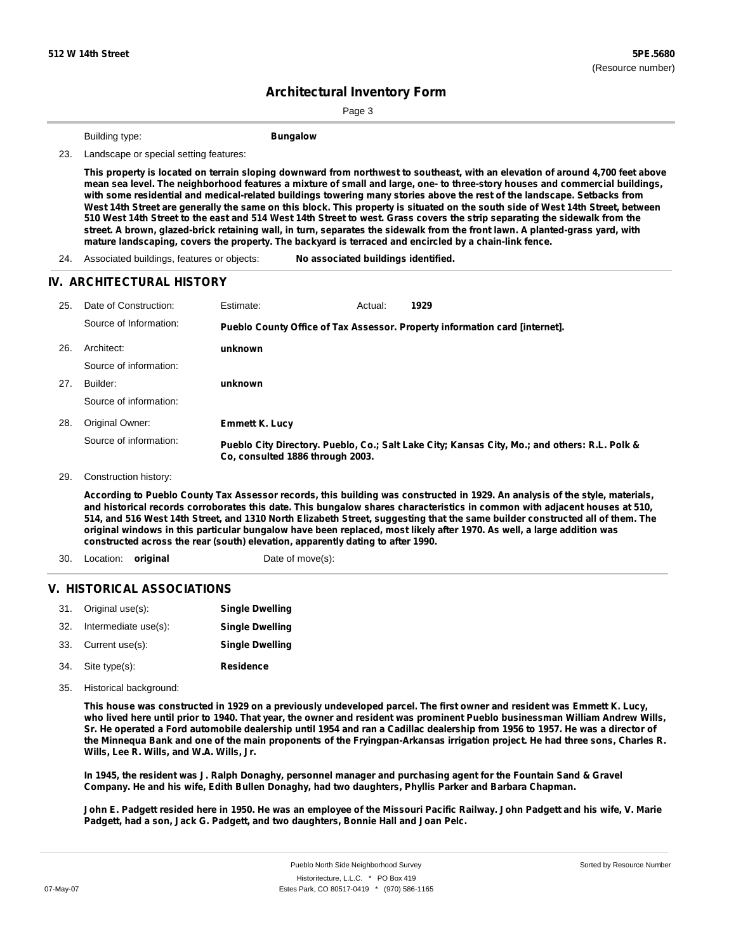Page 3

Building type: **Bungalow**

23. Landscape or special setting features:

This property is located on terrain sloping downward from northwest to southeast, with an elevation of around 4,700 feet above mean sea level. The neighborhood features a mixture of small and large, one- to three-story houses and commercial buildings, with some residential and medical-related buildings towering many stories above the rest of the landscape. Setbacks from West 14th Street are generally the same on this block. This property is situated on the south side of West 14th Street, between 510 West 14th Street to the east and 514 West 14th Street to west. Grass covers the strip separating the sidewalk from the street. A brown, glazed-brick retaining wall, in turn, separates the sidewalk from the front lawn. A planted-grass yard, with **mature landscaping, covers the property. The backyard is terraced and encircled by a chain-link fence.**

24. Associated buildings, features or objects: **No associated buildings identified.**

### **IV. ARCHITECTURAL HISTORY**

| 25. | Date of Construction:  | Estimate:                                                                   | Actual: | 1929                                                                                          |
|-----|------------------------|-----------------------------------------------------------------------------|---------|-----------------------------------------------------------------------------------------------|
|     | Source of Information: | Pueblo County Office of Tax Assessor. Property information card [internet]. |         |                                                                                               |
| 26. | Architect:             | unknown                                                                     |         |                                                                                               |
|     | Source of information: |                                                                             |         |                                                                                               |
| 27. | Builder:               | unknown                                                                     |         |                                                                                               |
|     | Source of information: |                                                                             |         |                                                                                               |
| 28. | Original Owner:        | <b>Emmett K. Lucy</b>                                                       |         |                                                                                               |
|     | Source of information: | Co. consulted 1886 through 2003.                                            |         | Pueblo City Directory. Pueblo, Co.; Salt Lake City; Kansas City, Mo.; and others: R.L. Polk & |

29. Construction history:

According to Pueblo County Tax Assessor records, this building was constructed in 1929. An analysis of the style, materials, and historical records corroborates this date. This bungalow shares characteristics in common with adjacent houses at 510, 514, and 516 West 14th Street, and 1310 North Elizabeth Street, suggesting that the same builder constructed all of them. The original windows in this particular bungalow have been replaced, most likely after 1970. As well, a large addition was **constructed across the rear (south) elevation, apparently dating to after 1990.**

- 30. Location: **original** Date of move(s):
	-

### **V. HISTORICAL ASSOCIATIONS**

|     | 31. Original use(s): | <b>Single Dwelling</b> |
|-----|----------------------|------------------------|
| 32. | Intermediate use(s): | <b>Single Dwelling</b> |
|     | 33. Current use(s):  | <b>Single Dwelling</b> |
|     | 34. Site type(s):    | <b>Residence</b>       |

35. Historical background:

This house was constructed in 1929 on a previously undeveloped parcel. The first owner and resident was Emmett K. Lucy, who lived here until prior to 1940. That year, the owner and resident was prominent Pueblo businessman William Andrew Wills, Sr. He operated a Ford automobile dealership until 1954 and ran a Cadillac dealership from 1956 to 1957. He was a director of the Minnequa Bank and one of the main proponents of the Fryingpan-Arkansas irrigation project. He had three sons, Charles R. **Wills, Lee R. Wills, and W.A. Wills, Jr.**

In 1945, the resident was J. Ralph Donaghy, personnel manager and purchasing agent for the Fountain Sand & Gravel **Company. He and his wife, Edith Bullen Donaghy, had two daughters, Phyllis Parker and Barbara Chapman.**

John E. Padgett resided here in 1950. He was an employee of the Missouri Pacific Railway. John Padgett and his wife, V. Marie **Padgett, had a son, Jack G. Padgett, and two daughters, Bonnie Hall and Joan Pelc.**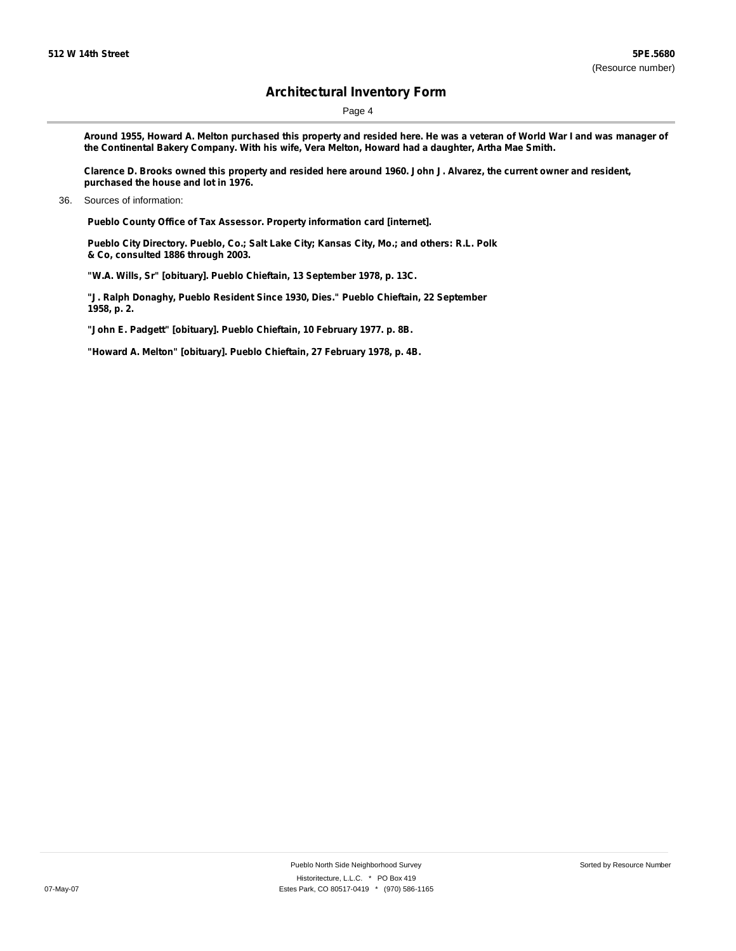Page 4

Around 1955, Howard A. Melton purchased this property and resided here. He was a veteran of World War I and was manager of **the Continental Bakery Company. With his wife, Vera Melton, Howard had a daughter, Artha Mae Smith.**

Clarence D. Brooks owned this property and resided here around 1960. John J. Alvarez, the current owner and resident, **purchased the house and lot in 1976.**

**Pueblo County Office of Tax Assessor. Property information card [internet].**

**Pueblo City Directory. Pueblo, Co.; Salt Lake City; Kansas City, Mo.; and others: R.L. Polk & Co, consulted 1886 through 2003.**

**"W.A. Wills, Sr" [obituary]. Pueblo Chieftain, 13 September 1978, p. 13C.**

**"J. Ralph Donaghy, Pueblo Resident Since 1930, Dies." Pueblo Chieftain, 22 September 1958, p. 2.**

**"John E. Padgett" [obituary]. Pueblo Chieftain, 10 February 1977. p. 8B.**

**"Howard A. Melton" [obituary]. Pueblo Chieftain, 27 February 1978, p. 4B.**

<sup>36.</sup> Sources of information: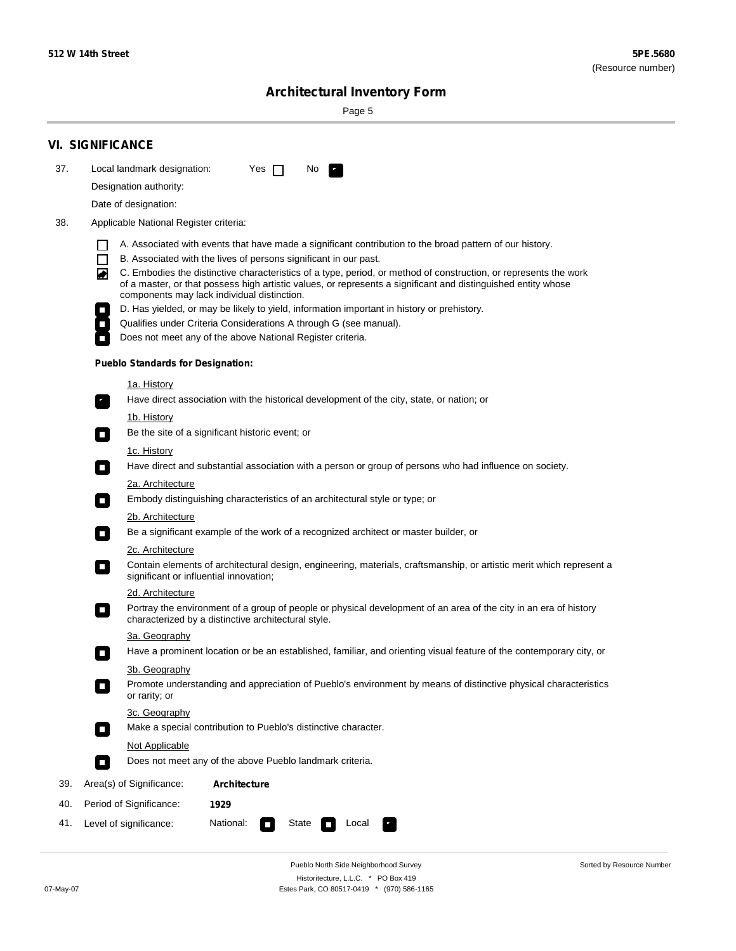$\sim$ 

Sorted by Resource Number

# **Architectural Inventory Form**

Page 5

|     | <b>VI. SIGNIFICANCE</b>                                                                                                                                                                                                                                                               |
|-----|---------------------------------------------------------------------------------------------------------------------------------------------------------------------------------------------------------------------------------------------------------------------------------------|
| 37. | Local landmark designation:<br>Yes $\Box$<br>No.<br>LE.                                                                                                                                                                                                                               |
|     | Designation authority:                                                                                                                                                                                                                                                                |
|     | Date of designation:                                                                                                                                                                                                                                                                  |
| 38. | Applicable National Register criteria:                                                                                                                                                                                                                                                |
|     | A. Associated with events that have made a significant contribution to the broad pattern of our history.<br>H                                                                                                                                                                         |
|     | B. Associated with the lives of persons significant in our past.<br>$\Box$                                                                                                                                                                                                            |
|     | C. Embodies the distinctive characteristics of a type, period, or method of construction, or represents the work<br>丙<br>of a master, or that possess high artistic values, or represents a significant and distinguished entity whose<br>components may lack individual distinction. |
|     | D. Has yielded, or may be likely to yield, information important in history or prehistory.                                                                                                                                                                                            |
|     | Qualifies under Criteria Considerations A through G (see manual).                                                                                                                                                                                                                     |
|     | Does not meet any of the above National Register criteria.                                                                                                                                                                                                                            |
|     | <b>Pueblo Standards for Designation:</b>                                                                                                                                                                                                                                              |
|     | 1a. History                                                                                                                                                                                                                                                                           |
|     | Have direct association with the historical development of the city, state, or nation; or<br>$\mathbf{r}_1$                                                                                                                                                                           |
|     | 1b. History                                                                                                                                                                                                                                                                           |
|     | Be the site of a significant historic event; or<br>$\mathcal{L}_{\mathcal{A}}$                                                                                                                                                                                                        |
|     | 1c. History                                                                                                                                                                                                                                                                           |
|     | Have direct and substantial association with a person or group of persons who had influence on society.<br>$\overline{\phantom{a}}$                                                                                                                                                   |
|     | 2a. Architecture                                                                                                                                                                                                                                                                      |
|     | Embody distinguishing characteristics of an architectural style or type; or<br>$\overline{\phantom{a}}$                                                                                                                                                                               |
|     | <u>2b. Architecture</u><br>Be a significant example of the work of a recognized architect or master builder, or<br>$\overline{\phantom{a}}$                                                                                                                                           |
|     | <b>2c. Architecture</b>                                                                                                                                                                                                                                                               |
|     | Contain elements of architectural design, engineering, materials, craftsmanship, or artistic merit which represent a<br>О<br>significant or influential innovation;                                                                                                                   |
|     | <u>2d. Architecture</u>                                                                                                                                                                                                                                                               |
|     | Portray the environment of a group of people or physical development of an area of the city in an era of history<br>О<br>characterized by a distinctive architectural style.                                                                                                          |
|     | 3a. Geography                                                                                                                                                                                                                                                                         |
|     | Have a prominent location or be an established, familiar, and orienting visual feature of the contemporary city, or                                                                                                                                                                   |
|     | 3b. Geography<br>Promote understanding and appreciation of Pueblo's environment by means of distinctive physical characteristics<br>or rarity; or                                                                                                                                     |
|     | 3c. Geography                                                                                                                                                                                                                                                                         |
|     | Make a special contribution to Pueblo's distinctive character.<br>$\overline{\phantom{a}}$                                                                                                                                                                                            |
|     | Not Applicable                                                                                                                                                                                                                                                                        |
|     | Does not meet any of the above Pueblo landmark criteria.<br>П                                                                                                                                                                                                                         |
| 39. | Area(s) of Significance:<br><b>Architecture</b>                                                                                                                                                                                                                                       |
| 40. | Period of Significance:<br>1929                                                                                                                                                                                                                                                       |
| 41. | Level of significance:<br>National:<br>Local<br>State<br>$\Box$                                                                                                                                                                                                                       |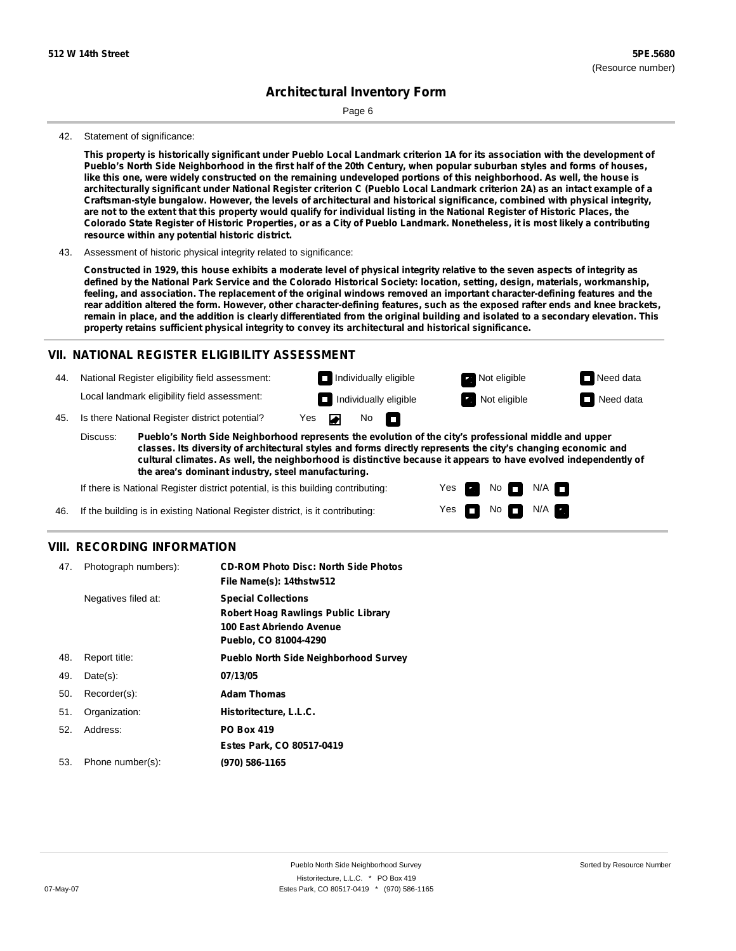Page 6

#### 42. Statement of significance:

This property is historically significant under Pueblo Local Landmark criterion 1A for its association with the development of Pueblo's North Side Neighborhood in the first half of the 20th Century, when popular suburban styles and forms of houses, like this one, were widely constructed on the remaining undeveloped portions of this neighborhood. As well, the house is architecturally significant under National Register criterion C (Pueblo Local Landmark criterion 2A) as an intact example of a **Craftsman-style bungalow. However, the levels of architectural and historical significance, combined with physical integrity,** are not to the extent that this property would qualify for individual listing in the National Register of Historic Places, the Colorado State Register of Historic Properties, or as a City of Pueblo Landmark. Nonetheless, it is most likely a contributing **resource within any potential historic district.**

43. Assessment of historic physical integrity related to significance:

Constructed in 1929, this house exhibits a moderate level of physical integrity relative to the seven aspects of integrity as defined by the National Park Service and the Colorado Historical Society: location, setting, design, materials, workmanship, feeling, and association. The replacement of the original windows removed an important character-defining features and the rear addition altered the form. However, other character-defining features, such as the exposed rafter ends and knee brackets, remain in place, and the addition is clearly differentiated from the original building and isolated to a secondary elevation. This **property retains sufficient physical integrity to convey its architectural and historical significance.**

### **VII. NATIONAL REGISTER ELIGIBILITY ASSESSMENT**

**Individually eligible Not eligible** Not eligible **Need data** 44. National Register eligibility field assessment: Local landmark eligibility field assessment: **Individually eligible Not eligible** Not eligible **Need data** No<sub>D</sub> ◚ 45. Is there National Register district potential? Yes Discuss: **Pueblo's North Side Neighborhood represents the evolution of the city's professional middle and upper**

**classes. Its diversity of architectural styles and forms directly represents the city's changing economic and cultural climates. As well, the neighborhood is distinctive because it appears to have evolved independently of the area's dominant industry, steel manufacturing.**

> Yes Yes

No

 $No$   $N/A$ 

 $N/A$ 

If there is National Register district potential, is this building contributing:

46. If the building is in existing National Register district, is it contributing:

### **VIII. RECORDING INFORMATION**

| 47. | Photograph numbers): | <b>CD-ROM Photo Disc: North Side Photos</b><br>File Name(s): 14thstw512                                                       |
|-----|----------------------|-------------------------------------------------------------------------------------------------------------------------------|
|     | Negatives filed at:  | <b>Special Collections</b><br><b>Robert Hoag Rawlings Public Library</b><br>100 East Abriendo Avenue<br>Pueblo, CO 81004-4290 |
| 48. | Report title:        | <b>Pueblo North Side Neighborhood Survey</b>                                                                                  |
| 49. | $Date(s)$ :          | 07/13/05                                                                                                                      |
| 50. | Recorder(s):         | <b>Adam Thomas</b>                                                                                                            |
| 51. | Organization:        | Historitecture, L.L.C.                                                                                                        |
| 52. | Address:             | <b>PO Box 419</b>                                                                                                             |
|     |                      | Estes Park, CO 80517-0419                                                                                                     |
| 53. | Phone number(s):     | (970) 586-1165                                                                                                                |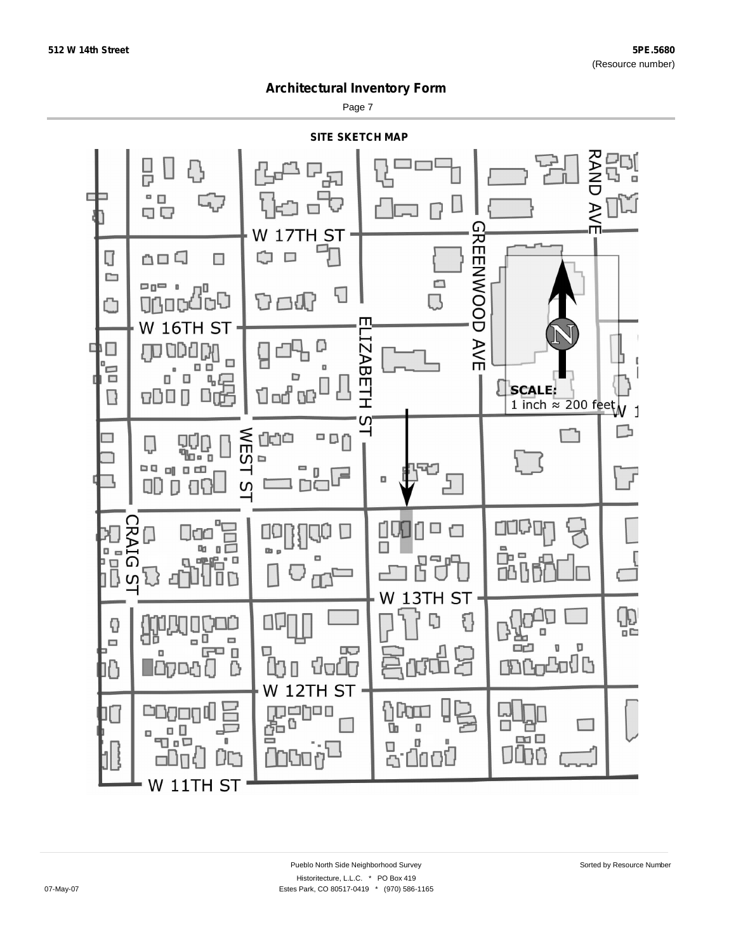Page 7